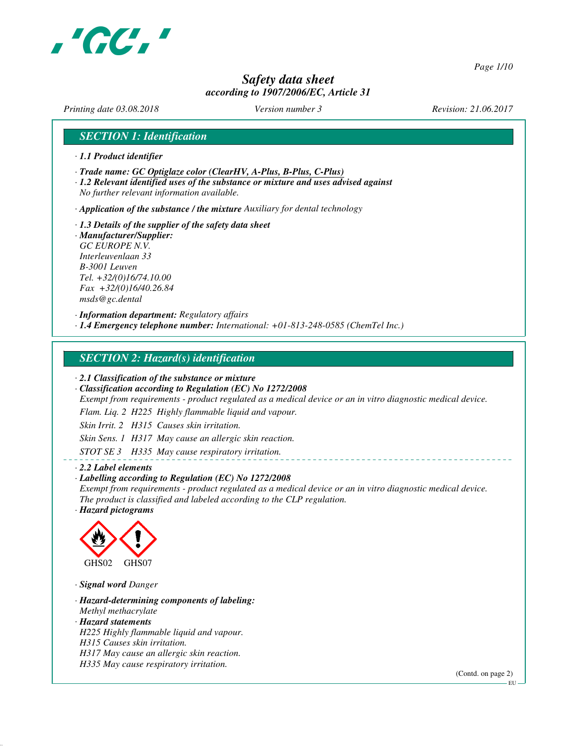

*Page 1/10*

# *Safety data sheet according to 1907/2006/EC, Article 31*

*Printing date 03.08.2018 Version number 3 Revision: 21.06.2017*

## *SECTION 1: Identification*

- *· 1.1 Product identifier*
- *· Trade name: GC Optiglaze color (ClearHV, A-Plus, B-Plus, C-Plus)*
- *· 1.2 Relevant identified uses of the substance or mixture and uses advised against No further relevant information available.*

*· Application of the substance / the mixture Auxiliary for dental technology*

*· 1.3 Details of the supplier of the safety data sheet · Manufacturer/Supplier: GC EUROPE N.V. Interleuvenlaan 33 B-3001 Leuven Tel. +32/(0)16/74.10.00 Fax +32/(0)16/40.26.84*

*msds@gc.dental*

*· Information department: Regulatory affairs*

*· 1.4 Emergency telephone number: International: +01-813-248-0585 (ChemTel Inc.)*

## *SECTION 2: Hazard(s) identification*

*· 2.1 Classification of the substance or mixture*

*· Classification according to Regulation (EC) No 1272/2008*

*Exempt from requirements - product regulated as a medical device or an in vitro diagnostic medical device.*

*Flam. Liq. 2 H225 Highly flammable liquid and vapour.*

*Skin Irrit. 2 H315 Causes skin irritation.*

*Skin Sens. 1 H317 May cause an allergic skin reaction.*

*STOT SE 3 H335 May cause respiratory irritation.*

#### *· 2.2 Label elements*

#### *· Labelling according to Regulation (EC) No 1272/2008*

*Exempt from requirements - product regulated as a medical device or an in vitro diagnostic medical device. The product is classified and labeled according to the CLP regulation.*

*· Hazard pictograms*



*· Signal word Danger*

*· Hazard-determining components of labeling: Methyl methacrylate · Hazard statements H225 Highly flammable liquid and vapour. H315 Causes skin irritation. H317 May cause an allergic skin reaction. H335 May cause respiratory irritation.*

(Contd. on page 2)

 $-EU$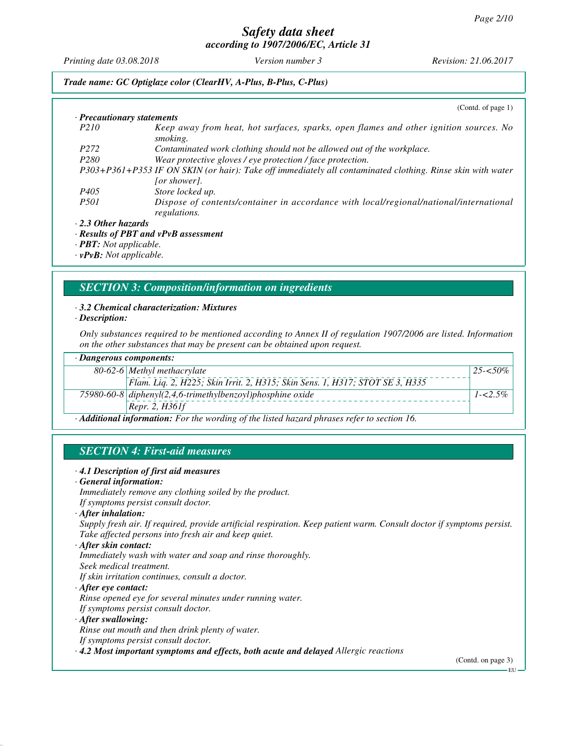*Printing date 03.08.2018 Version number 3 Revision: 21.06.2017*

## *Trade name: GC Optiglaze color (ClearHV, A-Plus, B-Plus, C-Plus)*

|                                                              | (Contd. of page 1)                                                                                                         |
|--------------------------------------------------------------|----------------------------------------------------------------------------------------------------------------------------|
| $\cdot$ Precautionary statements                             |                                                                                                                            |
| P <sub>210</sub>                                             | Keep away from heat, hot surfaces, sparks, open flames and other ignition sources. No<br>smoking.                          |
| P <sub>272</sub>                                             | Contaminated work clothing should not be allowed out of the workplace.                                                     |
| P <sub>280</sub>                                             | Wear protective gloves / eye protection / face protection.                                                                 |
|                                                              | P303+P361+P353 IF ON SKIN (or hair): Take off immediately all contaminated clothing. Rinse skin with water<br>[or shower]. |
| P <sub>405</sub>                                             | Store locked up.                                                                                                           |
| <i>P501</i>                                                  | Dispose of contents/container in accordance with local/regional/national/international<br><i>regulations.</i>              |
| $\cdot$ 2.3 Other hazards                                    |                                                                                                                            |
|                                                              | $\cdot$ Results of PBT and vPvB assessment                                                                                 |
| $\mathbf{D}\mathbf{D}\mathbf{T}$ , $N_{\alpha t}$ annlicable |                                                                                                                            |

*· PBT: Not applicable. · vPvB: Not applicable.*

# *SECTION 3: Composition/information on ingredients*

## *· 3.2 Chemical characterization: Mixtures*

*· Description:*

*Only substances required to be mentioned according to Annex II of regulation 1907/2006 are listed. Information on the other substances that may be present can be obtained upon request.*

| $\cdot$ Dangerous components:                                                                            |                                                                              |             |  |
|----------------------------------------------------------------------------------------------------------|------------------------------------------------------------------------------|-------------|--|
|                                                                                                          | 80-62-6 Methyl methacrylate                                                  | $25 - 50\%$ |  |
|                                                                                                          | Flam. Liq. 2, H225; Skin Irrit. 2, H315; Skin Sens. 1, H317; STOT SE 3, H335 |             |  |
|                                                                                                          | $75980-60-8$ diphenyl(2,4,6-trimethylbenzoyl)phosphine oxide                 | $1 - 2.5\%$ |  |
|                                                                                                          | [Repr. 2, H361f]                                                             |             |  |
| $\cdot$ <b>Additional information:</b> For the wording of the listed hazard phrases refer to section 16. |                                                                              |             |  |

*SECTION 4: First-aid measures*

#### *· 4.1 Description of first aid measures*

*· General information:*

*Immediately remove any clothing soiled by the product. If symptoms persist consult doctor.*

*· After inhalation:*

*Supply fresh air. If required, provide artificial respiration. Keep patient warm. Consult doctor if symptoms persist. Take affected persons into fresh air and keep quiet.*

*· After skin contact:*

*Immediately wash with water and soap and rinse thoroughly.*

- *Seek medical treatment.*
- *If skin irritation continues, consult a doctor.*
- *· After eye contact:*

*Rinse opened eye for several minutes under running water.*

*If symptoms persist consult doctor.*

#### *· After swallowing:*

*Rinse out mouth and then drink plenty of water.*

- *If symptoms persist consult doctor.*
- *· 4.2 Most important symptoms and effects, both acute and delayed Allergic reactions*

(Contd. on page 3)

**EU**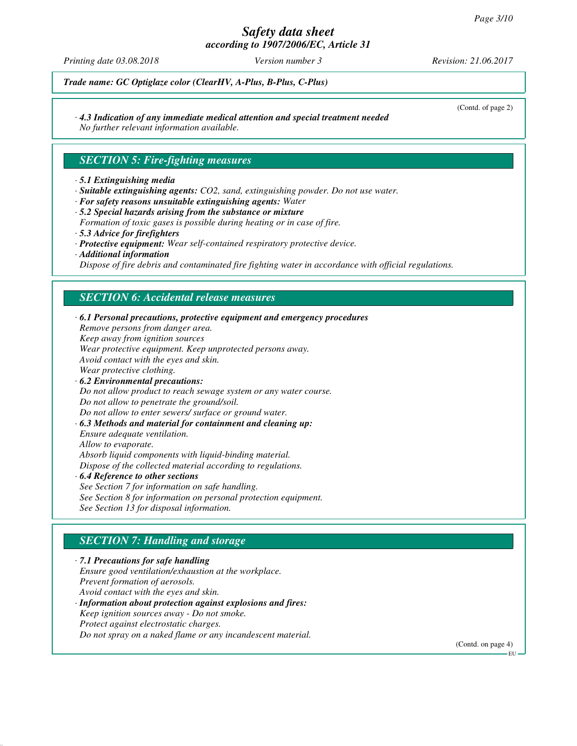# *Safety data sheet*

*according to 1907/2006/EC, Article 31*

*Printing date 03.08.2018 Version number 3 Revision: 21.06.2017*

(Contd. of page 2)

*Trade name: GC Optiglaze color (ClearHV, A-Plus, B-Plus, C-Plus)*

# *· 4.3 Indication of any immediate medical attention and special treatment needed*

*No further relevant information available.*

## *SECTION 5: Fire-fighting measures*

#### *· 5.1 Extinguishing media*

- *· Suitable extinguishing agents: CO2, sand, extinguishing powder. Do not use water.*
- *· For safety reasons unsuitable extinguishing agents: Water*
- *· 5.2 Special hazards arising from the substance or mixture Formation of toxic gases is possible during heating or in case of fire. · 5.3 Advice for firefighters*
- *· Protective equipment: Wear self-contained respiratory protective device.*
- *· Additional information*

*Dispose of fire debris and contaminated fire fighting water in accordance with official regulations.*

## *SECTION 6: Accidental release measures*

| Remove persons from danger area.                |                                                                   |
|-------------------------------------------------|-------------------------------------------------------------------|
| Keep away from ignition sources                 |                                                                   |
|                                                 | Wear protective equipment. Keep unprotected persons away.         |
| Avoid contact with the eyes and skin.           |                                                                   |
| Wear protective clothing.                       |                                                                   |
| $\cdot$ 6.2 Environmental precautions:          |                                                                   |
|                                                 | Do not allow product to reach sewage system or any water course.  |
| Do not allow to penetrate the ground/soil.      |                                                                   |
|                                                 | Do not allow to enter sewers/ surface or ground water.            |
|                                                 | $\cdot$ 6.3 Methods and material for containment and cleaning up: |
| <i>Ensure adequate ventilation.</i>             |                                                                   |
| Allow to evaporate.                             |                                                                   |
|                                                 | Absorb liquid components with liquid-binding material.            |
|                                                 | Dispose of the collected material according to regulations.       |
| $\cdot$ 6.4 Reference to other sections         |                                                                   |
| See Section 7 for information on safe handling. |                                                                   |
|                                                 | See Section 8 for information on personal protection equipment.   |
| See Section 13 for disposal information.        |                                                                   |

# *SECTION 7: Handling and storage*

*· 7.1 Precautions for safe handling Ensure good ventilation/exhaustion at the workplace. Prevent formation of aerosols. Avoid contact with the eyes and skin. · Information about protection against explosions and fires: Keep ignition sources away - Do not smoke. Protect against electrostatic charges. Do not spray on a naked flame or any incandescent material.*

(Contd. on page 4)

EU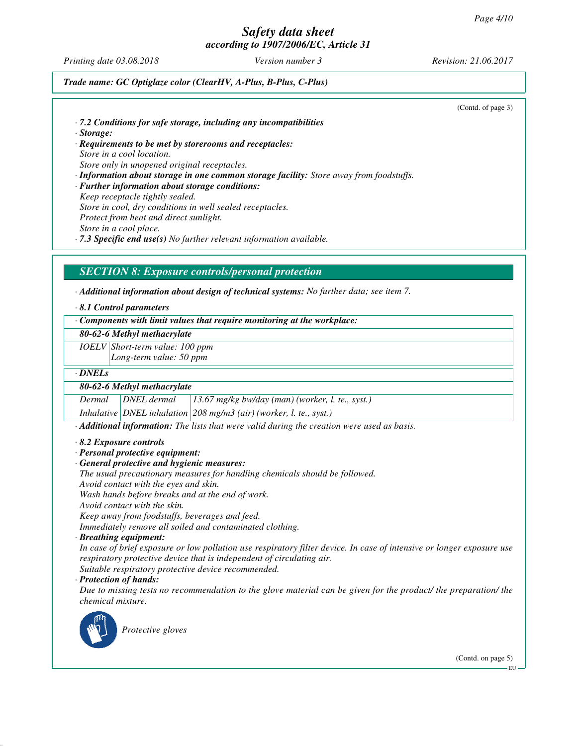*Printing date 03.08.2018 Version number 3 Revision: 21.06.2017*

*Trade name: GC Optiglaze color (ClearHV, A-Plus, B-Plus, C-Plus)*

(Contd. of page 3)

- *· 7.2 Conditions for safe storage, including any incompatibilities*
- *· Storage:*
- *· Requirements to be met by storerooms and receptacles: Store in a cool location. Store only in unopened original receptacles.*
- *· Information about storage in one common storage facility: Store away from foodstuffs. · Further information about storage conditions: Keep receptacle tightly sealed.*
- *Store in cool, dry conditions in well sealed receptacles.*

*Protect from heat and direct sunlight.*

*Store in a cool place.*

*· 7.3 Specific end use(s) No further relevant information available.*

## *SECTION 8: Exposure controls/personal protection*

*· Additional information about design of technical systems: No further data; see item 7.*

*· 8.1 Control parameters*

*· Components with limit values that require monitoring at the workplace:*

*80-62-6 Methyl methacrylate*

*IOELV Short-term value: 100 ppm*

*Long-term value: 50 ppm*

*· DNELs*

#### *80-62-6 Methyl methacrylate*

*Dermal DNEL dermal 13.67 mg/kg bw/day (man) (worker, l. te., syst.)*

*Inhalative DNEL inhalation 208 mg/m3 (air) (worker, l. te., syst.)*

*· Additional information: The lists that were valid during the creation were used as basis.*

#### *· 8.2 Exposure controls*

- *· Personal protective equipment:*
- *· General protective and hygienic measures:*
- *The usual precautionary measures for handling chemicals should be followed.*
- *Avoid contact with the eyes and skin.*

*Wash hands before breaks and at the end of work.*

*Avoid contact with the skin.*

*Keep away from foodstuffs, beverages and feed.*

*Immediately remove all soiled and contaminated clothing.*

*· Breathing equipment:*

*In case of brief exposure or low pollution use respiratory filter device. In case of intensive or longer exposure use respiratory protective device that is independent of circulating air. Suitable respiratory protective device recommended.*

*· Protection of hands:*

*Due to missing tests no recommendation to the glove material can be given for the product/ the preparation/ the chemical mixture.*



*Protective gloves*

(Contd. on page 5)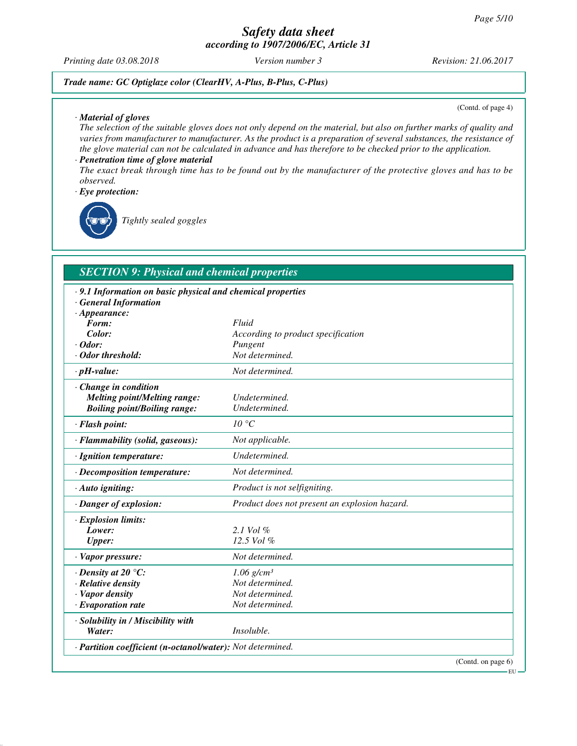*Printing date 03.08.2018 Version number 3 Revision: 21.06.2017*

*Trade name: GC Optiglaze color (ClearHV, A-Plus, B-Plus, C-Plus)*

*· Material of gloves*

(Contd. of page 4)

*The selection of the suitable gloves does not only depend on the material, but also on further marks of quality and varies from manufacturer to manufacturer. As the product is a preparation of several substances, the resistance of the glove material can not be calculated in advance and has therefore to be checked prior to the application. · Penetration time of glove material*

## *The exact break through time has to be found out by the manufacturer of the protective gloves and has to be observed.*

*· Eye protection:*

*Tightly sealed goggles*

## *SECTION 9: Physical and chemical properties*

| · 9.1 Information on basic physical and chemical properties |                                               |
|-------------------------------------------------------------|-----------------------------------------------|
| · General Information                                       |                                               |
| $\cdot$ Appearance:                                         |                                               |
| Form:                                                       | Fluid                                         |
| Color:                                                      | According to product specification            |
| $\cdot$ Odor:                                               | Pungent                                       |
| · Odor threshold:                                           | Not determined.                               |
| $\cdot$ pH-value:                                           | Not determined.                               |
| · Change in condition                                       |                                               |
| <b>Melting point/Melting range:</b>                         | Undetermined.                                 |
| <b>Boiling point/Boiling range:</b>                         | Undetermined.                                 |
| · Flash point:                                              | $10^{\circ}C$                                 |
| · Flammability (solid, gaseous):                            | Not applicable.                               |
| · Ignition temperature:                                     | Undetermined.                                 |
| · Decomposition temperature:                                | Not determined.                               |
| $\cdot$ Auto igniting:                                      | Product is not selfigniting.                  |
| · Danger of explosion:                                      | Product does not present an explosion hazard. |
| · Explosion limits:                                         |                                               |
| Lower:                                                      | 2.1 Vol %                                     |
| <b>Upper:</b>                                               | $12.5$ Vol $%$                                |
| $\cdot$ Vapor pressure:                                     | Not determined.                               |
| $\cdot$ Density at 20 °C:                                   | $1.06$ g/cm <sup>3</sup>                      |
| · Relative density                                          | Not determined.                               |
| · Vapor density                                             | Not determined.                               |
| $\cdot$ Evaporation rate                                    | Not determined.                               |
| · Solubility in / Miscibility with                          |                                               |
| Water:                                                      | Insoluble.                                    |
| · Partition coefficient (n-octanol/water): Not determined.  |                                               |
|                                                             | (Contd. on page 6)                            |

EU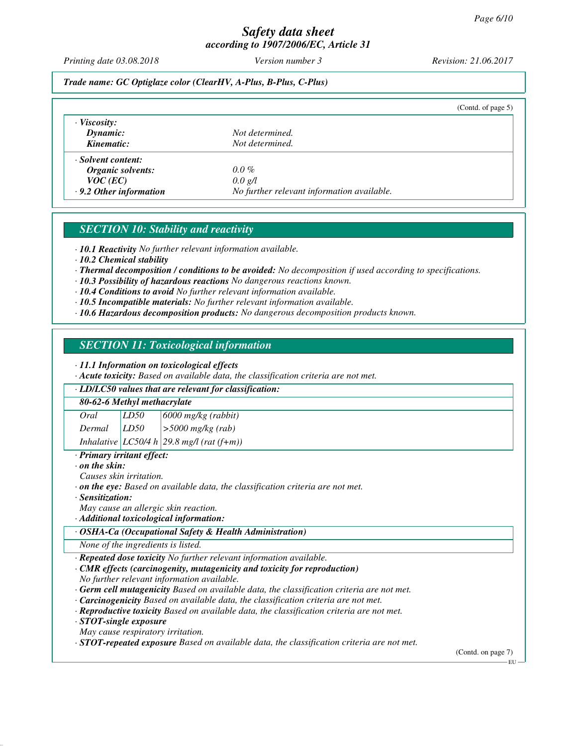*Printing date 03.08.2018 Version number 3 Revision: 21.06.2017*

## *Trade name: GC Optiglaze color (ClearHV, A-Plus, B-Plus, C-Plus)*

|                               | (Contd. of page $5$ )                      |
|-------------------------------|--------------------------------------------|
| $\cdot$ Viscosity:            |                                            |
| Dynamic:                      | Not determined.                            |
| Kinematic:                    | Not determined.                            |
| · Solvent content:            |                                            |
| Organic solvents:             | $0.0\%$                                    |
| $VOC$ (EC)                    | 0.0 g/l                                    |
| $\cdot$ 9.2 Other information | No further relevant information available. |

# *SECTION 10: Stability and reactivity*

*· 10.1 Reactivity No further relevant information available.*

*· 10.2 Chemical stability*

- *· Thermal decomposition / conditions to be avoided: No decomposition if used according to specifications.*
- *· 10.3 Possibility of hazardous reactions No dangerous reactions known.*

*· 10.4 Conditions to avoid No further relevant information available.*

- *· 10.5 Incompatible materials: No further relevant information available.*
- *· 10.6 Hazardous decomposition products: No dangerous decomposition products known.*

## *SECTION 11: Toxicological information*

*· 11.1 Information on toxicological effects*

*· Acute toxicity: Based on available data, the classification criteria are not met.*

## *· LD/LC50 values that are relevant for classification:*

#### *80-62-6 Methyl methacrylate*

*Oral LD50 6000 mg/kg (rabbit) Dermal LD50 >5000 mg/kg (rab)*

*Inhalative LC50/4 h 29.8 mg/l (rat (f+m))*

*· Primary irritant effect:*

*· on the skin:*

*Causes skin irritation.*

- *· on the eye: Based on available data, the classification criteria are not met.*
- *· Sensitization:*

*May cause an allergic skin reaction.*

*· Additional toxicological information:*

#### *· OSHA-Ca (Occupational Safety & Health Administration)*

*None of the ingredients is listed.*

*· Repeated dose toxicity No further relevant information available.*

- *· CMR effects (carcinogenity, mutagenicity and toxicity for reproduction) No further relevant information available.*
- *· Germ cell mutagenicity Based on available data, the classification criteria are not met.*
- *· Carcinogenicity Based on available data, the classification criteria are not met.*

*· Reproductive toxicity Based on available data, the classification criteria are not met.*

*· STOT-single exposure*

*May cause respiratory irritation.*

*· STOT-repeated exposure Based on available data, the classification criteria are not met.*

(Contd. on page 7)

EU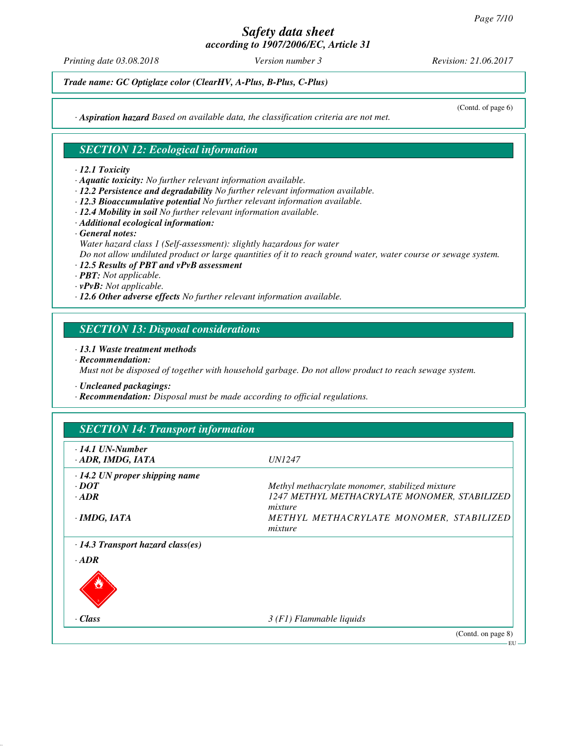*Printing date 03.08.2018 Version number 3 Revision: 21.06.2017*

*Trade name: GC Optiglaze color (ClearHV, A-Plus, B-Plus, C-Plus)*

*· Aspiration hazard Based on available data, the classification criteria are not met.*

## *SECTION 12: Ecological information*

#### *· 12.1 Toxicity*

- *· Aquatic toxicity: No further relevant information available.*
- *· 12.2 Persistence and degradability No further relevant information available.*
- *· 12.3 Bioaccumulative potential No further relevant information available.*
- *· 12.4 Mobility in soil No further relevant information available.*
- *· Additional ecological information:*
- *· General notes:*
- *Water hazard class 1 (Self-assessment): slightly hazardous for water Do not allow undiluted product or large quantities of it to reach ground water, water course or sewage system.*
- *· 12.5 Results of PBT and vPvB assessment*
- *· PBT: Not applicable.*
- *· vPvB: Not applicable.*
- *· 12.6 Other adverse effects No further relevant information available.*

## *SECTION 13: Disposal considerations*

#### *· 13.1 Waste treatment methods*

*· Recommendation:*

*Must not be disposed of together with household garbage. Do not allow product to reach sewage system.*

*· Uncleaned packagings:*

*· Recommendation: Disposal must be made according to official regulations.*

# *SECTION 14: Transport information*

| $\cdot$ 14.1 UN-Number<br>· ADR, IMDG, IATA | <i>UN1247</i>                                           |
|---------------------------------------------|---------------------------------------------------------|
| $\cdot$ 14.2 UN proper shipping name        |                                                         |
| $\cdot$ <i>DOT</i>                          | Methyl methacrylate monomer, stabilized mixture         |
| $-ADR$                                      | 1247 METHYL METHACRYLATE MONOMER, STABILIZED<br>mixture |
| $\cdot$ IMDG, IATA                          | METHYL METHACRYLATE MONOMER, STABILIZED<br>mixture      |
| $\cdot$ 14.3 Transport hazard class(es)     |                                                         |
| $-ADR$                                      |                                                         |
|                                             |                                                         |
| · Class                                     | $3(F1)$ Flammable liquids                               |
|                                             | (Contd. on page 8)                                      |

(Contd. of page 6)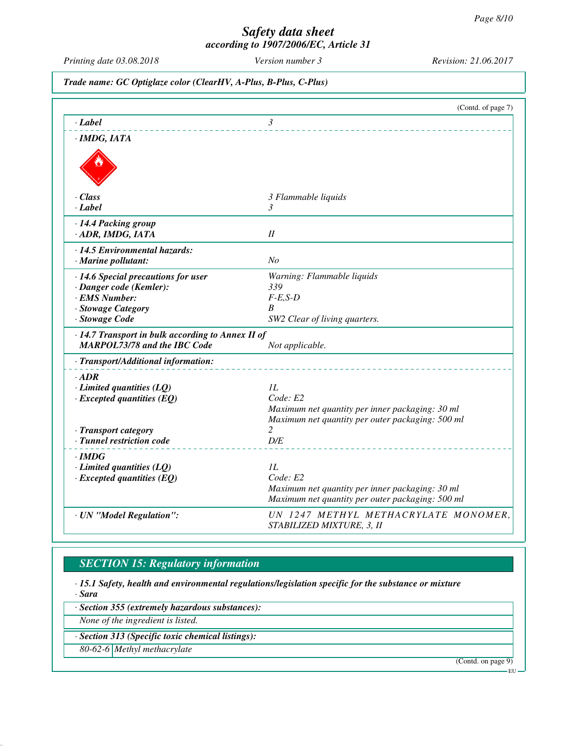*Printing date 03.08.2018 Version number 3 Revision: 21.06.2017*

*Trade name: GC Optiglaze color (ClearHV, A-Plus, B-Plus, C-Plus)*

|                                                                     | (Contd. of page 7)                                                |
|---------------------------------------------------------------------|-------------------------------------------------------------------|
| · Label                                                             | 3                                                                 |
| $\cdot$ IMDG, IATA                                                  |                                                                   |
|                                                                     |                                                                   |
|                                                                     |                                                                   |
| · Class                                                             | 3 Flammable liquids                                               |
| $\cdot$ <i>Label</i>                                                | 3                                                                 |
| · 14.4 Packing group                                                |                                                                   |
| · ADR, IMDG, IATA                                                   | $I\!I$                                                            |
| · 14.5 Environmental hazards:                                       |                                                                   |
| $\cdot$ Marine pollutant:                                           | No                                                                |
| · 14.6 Special precautions for user                                 | Warning: Flammable liquids                                        |
| · Danger code (Kemler):                                             | 339                                                               |
| · EMS Number:                                                       | $F-E,S-D$                                                         |
| · Stowage Category                                                  | B                                                                 |
| · Stowage Code                                                      | SW2 Clear of living quarters.                                     |
| $\cdot$ 14.7 Transport in bulk according to Annex II of             |                                                                   |
| <b>MARPOL73/78 and the IBC Code</b>                                 | Not applicable.                                                   |
| · Transport/Additional information:                                 |                                                                   |
| $\cdot$ ADR                                                         |                                                                   |
| $\cdot$ Limited quantities (LQ)                                     | 1L                                                                |
| $\cdot$ Excepted quantities (EQ)                                    | Code: E2                                                          |
|                                                                     | Maximum net quantity per inner packaging: 30 ml                   |
|                                                                     | Maximum net quantity per outer packaging: 500 ml<br>$\mathcal{L}$ |
| · Transport category<br>· Tunnel restriction code                   | D/E                                                               |
|                                                                     |                                                                   |
| $\cdot$ IMDG                                                        | IL                                                                |
| $\cdot$ Limited quantities (LQ)<br>$\cdot$ Excepted quantities (EQ) | Code: E2                                                          |
|                                                                     | Maximum net quantity per inner packaging: 30 ml                   |
|                                                                     | Maximum net quantity per outer packaging: 500 ml                  |
| · UN "Model Regulation":                                            | UN 1247 METHYL METHACRYLATE MONOMER,                              |
|                                                                     | STABILIZED MIXTURE, 3, II                                         |

# *SECTION 15: Regulatory information*

*· 15.1 Safety, health and environmental regulations/legislation specific for the substance or mixture · Sara*

*· Section 355 (extremely hazardous substances):*

*None of the ingredient is listed.*

## *· Section 313 (Specific toxic chemical listings):*

*80-62-6 Methyl methacrylate*

(Contd. on page 9)

EU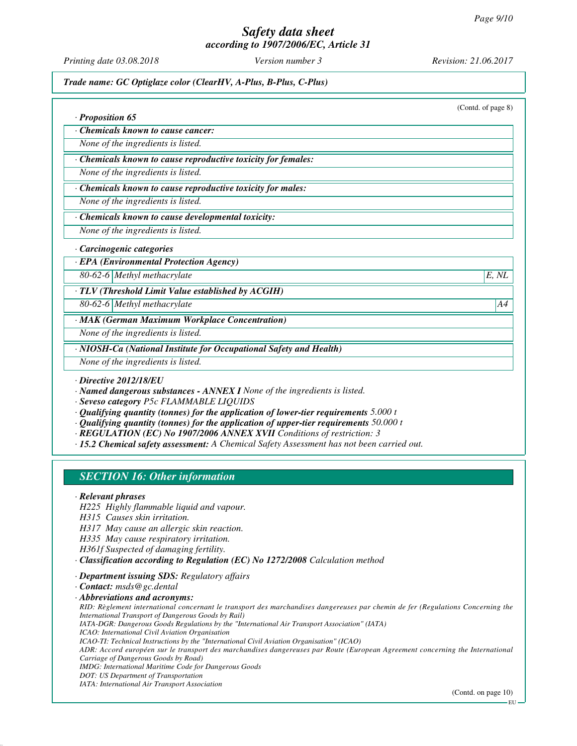*Printing date 03.08.2018 Version number 3 Revision: 21.06.2017*

*Trade name: GC Optiglaze color (ClearHV, A-Plus, B-Plus, C-Plus)*

(Contd. of page 8)

*· Proposition 65*

*· Chemicals known to cause cancer:*

*None of the ingredients is listed.*

*· Chemicals known to cause reproductive toxicity for females:*

*None of the ingredients is listed.*

*· Chemicals known to cause reproductive toxicity for males:*

*None of the ingredients is listed.*

#### *· Chemicals known to cause developmental toxicity:*

*None of the ingredients is listed.*

#### *· Carcinogenic categories*

*· EPA (Environmental Protection Agency)*

*80-62-6 Methyl methacrylate E, NL*

*· TLV (Threshold Limit Value established by ACGIH)*

*80-62-6 Methyl methacrylate A4*

*· MAK (German Maximum Workplace Concentration)*

*None of the ingredients is listed.*

*· NIOSH-Ca (National Institute for Occupational Safety and Health)*

*None of the ingredients is listed.*

*· Directive 2012/18/EU*

*· Named dangerous substances - ANNEX I None of the ingredients is listed.*

*· Seveso category P5c FLAMMABLE LIQUIDS*

*· Qualifying quantity (tonnes) for the application of lower-tier requirements 5.000 t*

- *· Qualifying quantity (tonnes) for the application of upper-tier requirements 50.000 t*
- *· REGULATION (EC) No 1907/2006 ANNEX XVII Conditions of restriction: 3*

*· 15.2 Chemical safety assessment: A Chemical Safety Assessment has not been carried out.*

# *SECTION 16: Other information*

#### *· Relevant phrases*

*H225 Highly flammable liquid and vapour.*

*H315 Causes skin irritation.*

*H317 May cause an allergic skin reaction.*

*H335 May cause respiratory irritation.*

*H361f Suspected of damaging fertility.*

*· Classification according to Regulation (EC) No 1272/2008 Calculation method*

*· Department issuing SDS: Regulatory affairs*

*· Contact: msds@gc.dental*

*· Abbreviations and acronyms:*

*RID: Règlement international concernant le transport des marchandises dangereuses par chemin de fer (Regulations Concerning the International Transport of Dangerous Goods by Rail) IATA-DGR: Dangerous Goods Regulations by the "International Air Transport Association" (IATA)*

*ICAO: International Civil Aviation Organisation*

*ICAO-TI: Technical Instructions by the "International Civil Aviation Organisation" (ICAO)*

*ADR: Accord européen sur le transport des marchandises dangereuses par Route (European Agreement concerning the International Carriage of Dangerous Goods by Road)*

*IMDG: International Maritime Code for Dangerous Goods*

*DOT: US Department of Transportation*

*IATA: International Air Transport Association*

(Contd. on page 10)